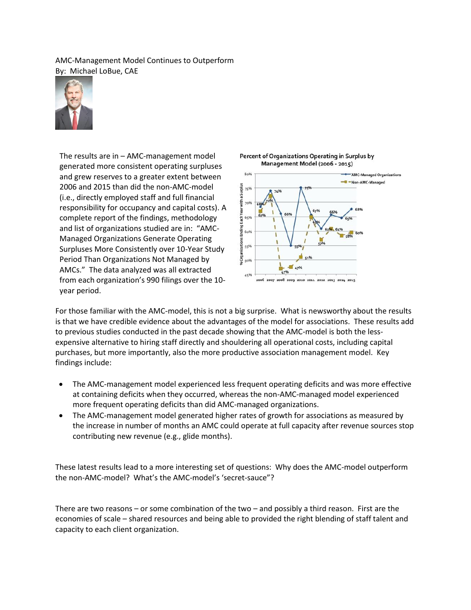AMC-Management Model Continues to Outperform By: Michael LoBue, CAE



The results are in – AMC-management model generated more consistent operating surpluses and grew reserves to a greater extent between 2006 and 2015 than did the non-AMC-model (i.e., directly employed staff and full financial responsibility for occupancy and capital costs). A complete report of the findings, methodology and list of organizations studied are in: "AMC-Managed Organizations Generate Operating Surpluses More Consistently over 10-Year Study Period Than Organizations Not Managed by AMCs." The data analyzed was all extracted from each organization's 990 filings over the 10 year period.





For those familiar with the AMC-model, this is not a big surprise. What is newsworthy about the results is that we have credible evidence about the advantages of the model for associations. These results add to previous studies conducted in the past decade showing that the AMC-model is both the lessexpensive alternative to hiring staff directly and shouldering all operational costs, including capital purchases, but more importantly, also the more productive association management model. Key findings include:

- The AMC-management model experienced less frequent operating deficits and was more effective at containing deficits when they occurred, whereas the non-AMC-managed model experienced more frequent operating deficits than did AMC-managed organizations.
- The AMC-management model generated higher rates of growth for associations as measured by the increase in number of months an AMC could operate at full capacity after revenue sources stop contributing new revenue (e.g., glide months).

These latest results lead to a more interesting set of questions: Why does the AMC-model outperform the non-AMC-model? What's the AMC-model's 'secret-sauce"?

There are two reasons – or some combination of the two – and possibly a third reason. First are the economies of scale – shared resources and being able to provided the right blending of staff talent and capacity to each client organization.